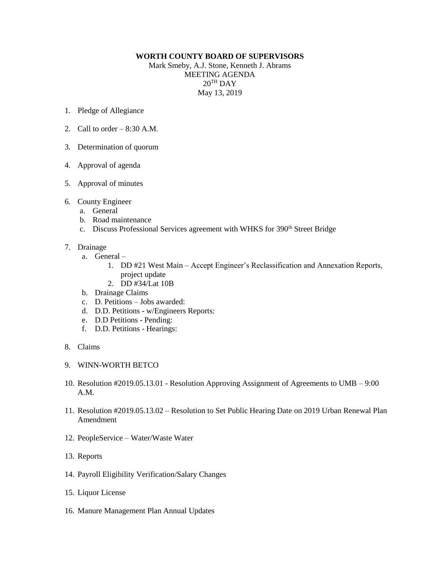## **WORTH COUNTY BOARD OF SUPERVISORS**

Mark Smeby, A.J. Stone, Kenneth J. Abrams MEETING AGENDA  $20<sup>TH</sup>$  DAY May 13, 2019

- 1. Pledge of Allegiance
- 2. Call to order  $-8:30$  A.M.
- 3. Determination of quorum
- 4. Approval of agenda
- 5. Approval of minutes
- 6. County Engineer
	- a. General
	- b. Road maintenance
	- c. Discuss Professional Services agreement with WHKS for 390<sup>th</sup> Street Bridge
- 7. Drainage
	- a. General
		- 1. DD #21 West Main Accept Engineer's Reclassification and Annexation Reports, project update
		- 2. DD #34/Lat 10B
	- b. Drainage Claims
	- c. D. Petitions Jobs awarded:
	- d. D.D. Petitions w/Engineers Reports:
	- e. D.D Petitions Pending:
	- f. D.D. Petitions Hearings:
- 8. Claims
- 9. WINN-WORTH BETCO
- 10. Resolution #2019.05.13.01 Resolution Approving Assignment of Agreements to UMB 9:00 A.M.
- 11. Resolution #2019.05.13.02 Resolution to Set Public Hearing Date on 2019 Urban Renewal Plan Amendment
- 12. PeopleService Water/Waste Water
- 13. Reports
- 14. Payroll Eligibility Verification/Salary Changes
- 15. Liquor License
- 16. Manure Management Plan Annual Updates